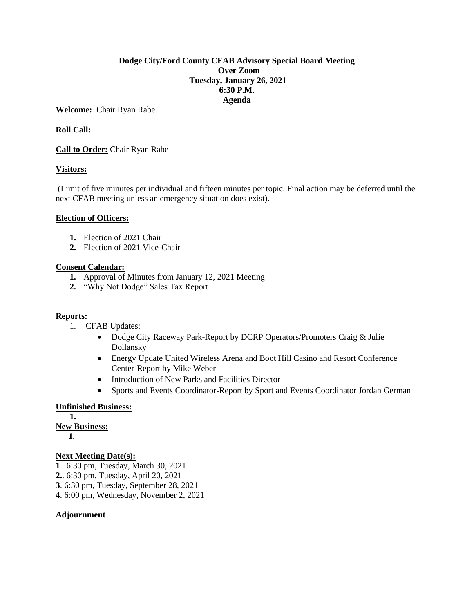### **Dodge City/Ford County CFAB Advisory Special Board Meeting Over Zoom Tuesday, January 26, 2021 6:30 P.M. Agenda**

**Welcome:** Chair Ryan Rabe

## **Roll Call:**

**Call to Order:** Chair Ryan Rabe

### **Visitors:**

(Limit of five minutes per individual and fifteen minutes per topic. Final action may be deferred until the next CFAB meeting unless an emergency situation does exist).

### **Election of Officers:**

- **1.** Election of 2021 Chair
- **2.** Election of 2021 Vice-Chair

### **Consent Calendar:**

- **1.** Approval of Minutes from January 12, 2021 Meeting
- **2.** "Why Not Dodge" Sales Tax Report

### **Reports:**

- 1. CFAB Updates:
	- Dodge City Raceway Park-Report by DCRP Operators/Promoters Craig & Julie Dollansky
	- Energy Update United Wireless Arena and Boot Hill Casino and Resort Conference Center-Report by Mike Weber
	- Introduction of New Parks and Facilities Director
	- Sports and Events Coordinator-Report by Sport and Events Coordinator Jordan German

## **Unfinished Business:**

**1. New Business: 1.** 

### **Next Meeting Date(s):**

- **1** 6:30 pm, Tuesday, March 30, 2021
- **2.**. 6:30 pm, Tuesday, April 20, 2021
- **3**. 6:30 pm, Tuesday, September 28, 2021
- **4**. 6:00 pm, Wednesday, November 2, 2021

### **Adjournment**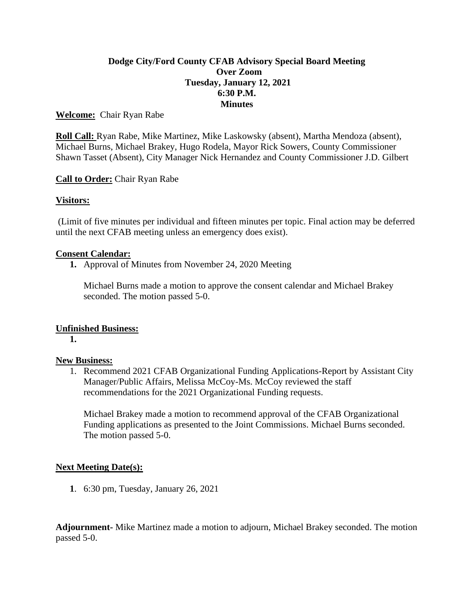# **Dodge City/Ford County CFAB Advisory Special Board Meeting Over Zoom Tuesday, January 12, 2021 6:30 P.M. Minutes**

## **Welcome:** Chair Ryan Rabe

**Roll Call:** Ryan Rabe, Mike Martinez, Mike Laskowsky (absent), Martha Mendoza (absent), Michael Burns, Michael Brakey, Hugo Rodela, Mayor Rick Sowers, County Commissioner Shawn Tasset (Absent), City Manager Nick Hernandez and County Commissioner J.D. Gilbert

# **Call to Order:** Chair Ryan Rabe

# **Visitors:**

(Limit of five minutes per individual and fifteen minutes per topic. Final action may be deferred until the next CFAB meeting unless an emergency does exist).

## **Consent Calendar:**

**1.** Approval of Minutes from November 24, 2020 Meeting

Michael Burns made a motion to approve the consent calendar and Michael Brakey seconded. The motion passed 5-0.

## **Unfinished Business:**

**1.**

## **New Business:**

1. Recommend 2021 CFAB Organizational Funding Applications-Report by Assistant City Manager/Public Affairs, Melissa McCoy-Ms. McCoy reviewed the staff recommendations for the 2021 Organizational Funding requests.

Michael Brakey made a motion to recommend approval of the CFAB Organizational Funding applications as presented to the Joint Commissions. Michael Burns seconded. The motion passed 5-0.

## **Next Meeting Date(s):**

**1**. 6:30 pm, Tuesday, January 26, 2021

**Adjournment-** Mike Martinez made a motion to adjourn, Michael Brakey seconded. The motion passed 5-0.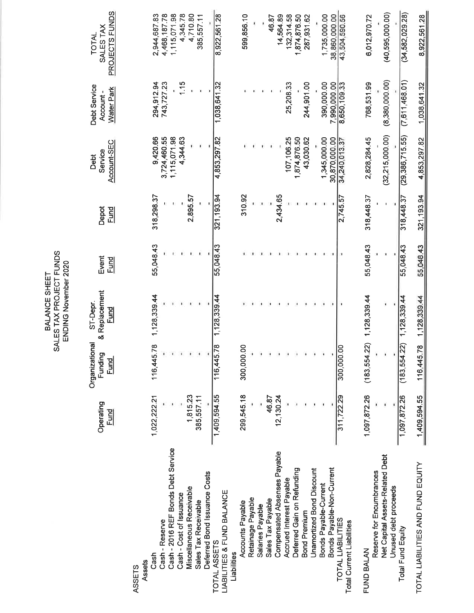|                                                       |              |                           | TIANIAN IANAIIDA 1            |           |             |                   |                          |                    |
|-------------------------------------------------------|--------------|---------------------------|-------------------------------|-----------|-------------|-------------------|--------------------------|--------------------|
|                                                       | Operating    | Organizational<br>Funding | & Replacement<br>ST-Depr.     | Event     | Depot       | Service<br>Debt   | Debt Service<br>Account- | SALES TAX<br>TOTAL |
|                                                       | <u>Fund</u>  | <u>Fund</u>               | <b>Fund</b>                   | Fund      | <u>Fund</u> | Account-SEC       | Water Park               | PROJECTS FUNDS     |
| ASSETS                                                |              |                           |                               |           |             |                   |                          |                    |
| Assets                                                |              |                           |                               |           |             |                   |                          |                    |
| Cash                                                  | 1,022,222.21 | 116,445.78                | 1,128,339.44                  | 55,048.43 | 318,298.37  | 9,420.66          | 294,912.94               | 2,944,687.83       |
| Cash - Reserve                                        |              |                           |                               |           |             | 3,724,460.55      | 743,727.23               | 4,468,187.78       |
| Cash - 2016 REF Bonds Debt Service                    |              |                           |                               |           |             | 1,115,071.98      |                          | 1,115,071.98       |
| Cash - Cost of Issuance                               |              |                           |                               |           |             | 4,344.63          | 1.15                     | 4,345.78           |
| Miscellaneous Receivable                              | 1,815.23     |                           |                               |           | 2,895.57    |                   |                          | 4,710.80           |
| Sales Tax Receivable                                  | 385,557.11   |                           |                               |           |             |                   |                          | 385,557.11         |
| Deferred Bond Issuance Costs                          |              |                           |                               |           |             |                   |                          |                    |
| <b>LIABILITIES &amp; FUND BALANCE</b><br>TOTAL ASSETS | 1,409,594.55 | 116,445.78                | 1,128,339.44                  | 55,048.43 | 321, 193.94 | 4,853,297.82      | 1,038,641.32             | 8,922,561.28       |
| Liabilities                                           |              |                           |                               |           |             |                   |                          |                    |
| Accounts Payable                                      | 299,545.18   | OO.<br>300,000            |                               |           | 310.92      |                   |                          | 599,856.10         |
| Retainage Payable                                     |              |                           |                               |           |             |                   |                          |                    |
| Salaries Payable                                      |              |                           |                               |           |             |                   |                          |                    |
| Sales Tax Payable                                     | 46.87        |                           |                               |           |             |                   |                          | 46.87              |
| Compensated Absenses Payable                          | 12,130.24    |                           |                               |           | 2,434.65    |                   |                          | 14,564.89          |
| Accrued Interest Payable                              |              |                           |                               |           |             | 107, 106.25       | 25,208.33                | 132,314.58         |
| Deferred Gain on Refunding                            |              |                           |                               |           |             | 1,874,876.50      |                          | 1,874,876.50       |
| <b>Bond Premium</b>                                   |              |                           |                               |           |             | 43,030.62         | 244,901.00               | 287,931.62         |
| Unamortized Bond Discount                             |              |                           |                               |           |             |                   |                          |                    |
| Bonds Payable-Current                                 |              |                           |                               |           |             | 1,345,000.00      | 390,000.00               | 1,735,000.00       |
| Bonds Payable-Non-Current                             |              |                           |                               |           |             | 30,870,000.00     | 7,990,000.00             | 38,860,000.00      |
| TOTAL LIABILITIES<br>Total Current Liabilities        | 311,722.29   | OO.<br>300,000            |                               |           | 2,745.57    | 34,240,013.37     | 8,650,109.33             | 43,504,590.56      |
| FUND BALAN                                            | 1,097,872.26 |                           | $(183,554.22)$ 1, 128, 339.44 | 55,048.43 | 318,448.37  | 2,828,284.45      | 768,531.99               | 6,012,970.72       |
| Reserve for Encumbrances                              |              |                           |                               |           |             |                   |                          |                    |
| Net Capital Assets-Related Debt                       |              |                           |                               |           | ı           | (32, 215, 000.00) | (8,380,000.00)           | (40, 595, 000.00)  |
| Unused debt proceeds                                  |              |                           |                               |           |             |                   |                          |                    |
| Total Fund Equity                                     | 1,097,872.26 | (22)<br>(183, 554)        | 1,128,339.44                  | 55,048.43 | 318,448.37  | (29, 386, 715.55) | (7,611,468.01)           | (34, 582, 029.28)  |
| TOTAL LIABILITIES AND FUND EQUITY                     | 1,409,594.55 | 116,445.78                | 1,128,339.44                  | 55,048.43 | 321, 193.94 | 4,853,297.82      | 1,038,641.32             | 8,922,561.28       |

BALANCE SHEET<br>SALES TAX PROJECT FUNDS<br>ENDING November 2020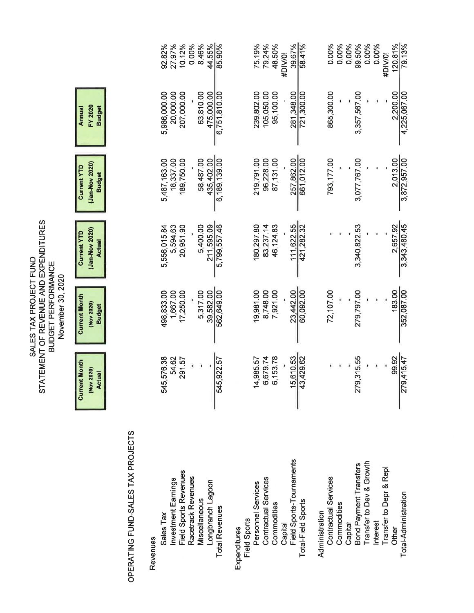|                                                                                                                   |                                                       |                                   | 44.55%<br>0.00%<br>8.46%<br>85.90%<br>92.82%<br>27.97%<br>10.12%                                                                                           | 75.19%<br>79.24%<br>48.50%<br>39.67%<br>58.41%<br>#DIV/0!                                                                                              | 0.00%<br>0.00%<br>0.00%<br>99.50%<br>0.00%<br>0.00%<br>120.81%<br>79.13%<br>#DIV/0!                                                                                                                      |
|-------------------------------------------------------------------------------------------------------------------|-------------------------------------------------------|-----------------------------------|------------------------------------------------------------------------------------------------------------------------------------------------------------|--------------------------------------------------------------------------------------------------------------------------------------------------------|----------------------------------------------------------------------------------------------------------------------------------------------------------------------------------------------------------|
|                                                                                                                   | FY 2020<br><b>Budget</b><br>Annual                    |                                   | 6,751,810.00<br>5,986,000.00<br>20,000.00<br>207,000.00<br>63,810.00<br>475,000.00                                                                         | 239,802.00<br>105,050.00<br>95,100.00<br>281,348.00<br>721,300.00                                                                                      | 865,300.00<br>2,200.00<br>3,357,567.00<br>4,225,067.00                                                                                                                                                   |
|                                                                                                                   | (Jan-Nov 2020)<br><b>Current YTD</b><br><b>Budget</b> |                                   | 6,189,139.00<br>5,487,163.00<br>58,487.00<br>435,402.00<br>18,337.00<br>189,750.00                                                                         | 661,012.00<br>219,791.00<br>257,862.00<br>96,228.00<br>87,131.00                                                                                       | 793,177.00<br>2,013.00<br>3,872,957.00<br>3,077,767.00                                                                                                                                                   |
|                                                                                                                   | (Jan-Nov 2020)<br><b>Current YTD</b><br><b>Actual</b> |                                   | 5,799,557.46<br>211,595.09<br>5,594.63<br>20,951.90<br>5,400.00<br>5,556,015.84                                                                            | 111,622.55<br>180,297.80<br>421,282.32<br>83,237.14<br>46, 124.83                                                                                      | 2,657.92<br>3,343,480.45<br>3,340,822.53                                                                                                                                                                 |
| STATEMENT OF REVENUE AND EXPENDITURES<br>SALES TAX PROJECT FUND<br><b>BUDGET PERFORMANCE</b><br>November 30, 2020 | <b>Current Month</b><br>(Nov 2020)<br><b>Budget</b>   |                                   | 1,667.00<br>562,649.00<br>498,833.00<br>5,317.00<br>39,582.00<br>17,250.00                                                                                 | 8,748.00<br>60,092.00<br>19,981.00<br>23,442.00<br>7,921.00                                                                                            | 72,107.00<br>183.00<br>352,087.00<br>279,797.00                                                                                                                                                          |
|                                                                                                                   | <b>Current Month</b><br>(Nov 2020)<br><b>Actual</b>   |                                   | 5,576.38<br>54.62<br>291.57<br>5,922.57<br>ź,<br> 2                                                                                                        | 15,610.53<br>6,679.74<br>6,153.78<br>3,429.62<br>4,985.57                                                                                              | 279,315.55<br>99.92<br>9,415.47<br> N                                                                                                                                                                    |
|                                                                                                                   |                                                       | OPERATING FUND-SALES TAX PROJECTS | Field Sports Revenues<br>Racetrack Revenues<br>Investment Earnings<br>Longbranch Lagoon<br>Miscellaneous<br><b>Total Revenues</b><br>Sales Tax<br>Revenues | Field Sports-Tournaments<br>Contractual Services<br>Personnel Services<br>Total-Field Sports<br>Commodities<br>Field Sports<br>Capital<br>Expenditures | Growth<br>Bond Payment Transfers<br>Transfer to Depr & Repl<br><b>Contractual Services</b><br>Transfer to Dev &<br>Total-Administration<br>Commodities<br>Administration<br>Interest<br>Capital<br>Other |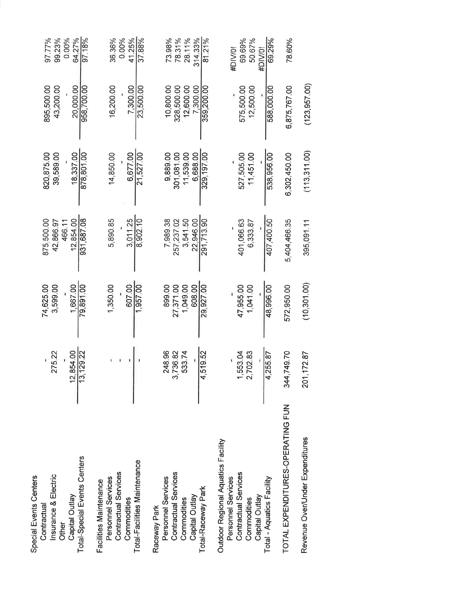| Total-Special Events Centers<br>Insurance & Electric<br>Special Events Centers<br>Capital Outlay<br>Contractual<br>Other | 12.854.00<br>275.22<br>13, 129.22 | 74,625.00<br>1.667.00<br>3,599.00 | 875.500.00<br>12,854.00<br>42,866.97<br>466.1 | 820, 875.00<br>39,589.00<br>18.337.00 | 43,200.00<br>20,000.00<br>895,500.00 | 99.23%<br>64.27%<br>97.77%<br>0.00% |
|--------------------------------------------------------------------------------------------------------------------------|-----------------------------------|-----------------------------------|-----------------------------------------------|---------------------------------------|--------------------------------------|-------------------------------------|
| Facilities Maintenance                                                                                                   |                                   | 79,891.00                         | 931,687.08                                    | 878,801.00                            | 958,700.00                           | 97.18%                              |
| Contractual Services<br>Personnel Services                                                                               |                                   | 1,350.00                          | 5,890.85                                      | 14,850.00                             | 16,200.00                            | 36.36%<br>0.00%                     |
| Commodities                                                                                                              |                                   | 607.00                            | 3.011.25                                      | 6.677.00                              | 7.300.00                             | 41.25%                              |
| Total-Facilities Maintenance                                                                                             |                                   | 1,957.00                          | 8,902.10                                      | 21,527.00                             | 23,500.00                            | 37.88%                              |
| Personnel Services<br>Raceway Park                                                                                       | 248.96                            | 899.00                            | 7,989.38                                      | 9,889.00                              | 10,800.00                            | 73.98%                              |
| Contractual Services                                                                                                     | 3,736.82                          | 27,371.00                         | 257,237.02                                    | 301.081.00                            | 328,500.00                           | 78.31%                              |
| Capital Outlay<br>Commodities                                                                                            | 533.74                            | 1,049.00                          | 3,541.50                                      | 11,539.00                             | 12,600.00                            | 28.11%                              |
|                                                                                                                          |                                   | 608.00                            | 22.946.00                                     | 6.688.00                              | 7.300.00                             | 314.33%                             |
| Total-Raceway Park                                                                                                       | 4,519.52                          | 29,927.00                         | 291,713.90                                    | 329, 197.00                           | 359,200.00                           | 81.21%                              |
| Outdoor Regional Aquatics Facility<br>Personnel Services                                                                 |                                   |                                   |                                               |                                       |                                      | #DIV/0!                             |
| Contractual Services                                                                                                     | 1,553.04                          | 47,955.00                         | 401,066.63                                    | 527,505.00                            | 575,500.00                           | 69.69%                              |
| Commodities                                                                                                              | 2,702.83                          | 1,041.00                          | 6,333.87                                      | 11,451.00                             | 12,500.00                            | 50.67%                              |
| Capital Outlay                                                                                                           |                                   |                                   |                                               |                                       |                                      | #DIV/01                             |
| Total - Aquatics Facility                                                                                                | 4,255.87                          | 48,996.00                         | 407,400.50                                    | 538,956.00                            | 588,000.00                           | 69.29%                              |
| TOTAL EXPENDITURES-OPERATING FUN                                                                                         | 344,749.70                        | 572,950.00                        | 5,404,466.35                                  | 6,302,450.00                          | 6,875,767.00                         | 78.60%                              |
| Revenue Over/Under Expenditures                                                                                          | 201,172.87                        | (10, 301.00)                      | 395,091.11                                    | (113, 311, 00)                        | (123, 957.00)                        |                                     |